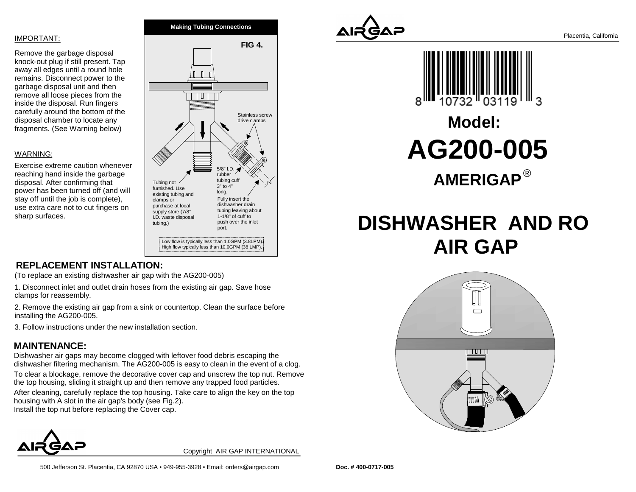#### IMPORTANT:

Remove the garbage disposal knock-out plug if still present. Tap away all edges until a round hole remains. Disconnect power to thegarbage disposal unit and then remove all loose pieces from the inside the disposal. Run fingers carefully around the bottom of thedisposal chamber to locate anyfragments. (See Warning below)

#### WARNING:

Exercise extreme caution wheneverreaching hand inside the garbagedisposal. After confirming that power has been turned off (and willstay off until the job is complete), use extra care not to cut fingers onsharp surfaces.



## **REPLACEMENT INSTALLATION:**

(To replace an existing dishwasher air gap with the AG200-005)

1. Disconnect inlet and outlet drain hoses from the existing air gap. Save hoseclamps for reassembly.

2. Remove the existing air gap from a sink or countertop. Clean the surface beforeinstalling the AG200-005.

3. Follow instructions under the new installation section.

### **MAINTENANCE:**

 Dishwasher air gaps may become clogged with leftover food debris escaping thedishwasher filtering mechanism. The AG200-005 is easy to clean in the event of a clog.

To clear a blockage, remove the decorative cover cap and unscrew the top nut. Removethe top housing, sliding it straight up and then remove any trapped food particles.

After cleaning, carefully replace the top housing. Take care to align the key on the tophousing with A slot in the air gap's body (see Fig.2). Install the top nut before replacing the Cover cap.



Copyright AIR GAP INTERNATIONAL





# **AMERIGAP**®**Model:AG200-005**

# **DISHWASHER AND RO AIR GAP**